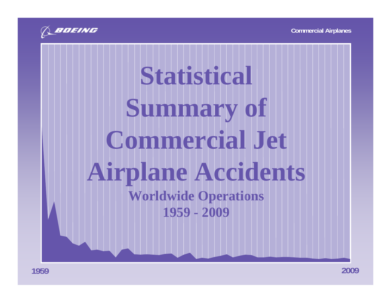

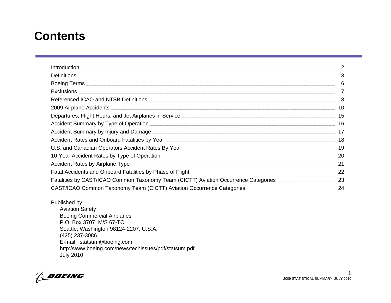### **Contents**

| Introduction.                                                                                                             |    |
|---------------------------------------------------------------------------------------------------------------------------|----|
| <b>Definitions</b>                                                                                                        | 3  |
|                                                                                                                           | 6  |
| <b>Exclusions</b>                                                                                                         |    |
|                                                                                                                           | 8  |
| 2009 Airplane Accidents                                                                                                   | 10 |
| Departures, Flight Hours, and Jet Airplanes in Service <u>Communication and the service</u> of the service of the service | 15 |
|                                                                                                                           | 16 |
| Accident Summary by Injury and Damage <b>Constant Construction Construction</b> Construction Construction Construction    | 17 |
|                                                                                                                           | 18 |
|                                                                                                                           | 19 |
| 10-Year Accident Rates by Type of Operation                                                                               | 20 |
| <b>Accident Rates by Airplane Type</b>                                                                                    | 21 |
| Fatal Accidents and Onboard Fatalities by Phase of Flight                                                                 | 22 |
| Fatalities by CAST/ICAO Common Taxonomy Team (CICTT) Aviation Occurrence Categories _______________                       | 23 |
| CAST/ICAO Common Taxonomy Team (CICTT) Aviation Occurrence Categories                                                     | 24 |

Published by: Aviation Safety Boeing Commercial Airplanes P.O. Box 3707 M/S 67-TCSeattle, Washington 98124-2207, U.S.A. (425) 237-3086 E-mail: statsum@boeing.com http://www.boeing.com/news/techissues/pdf/statsum.pdf July 2010

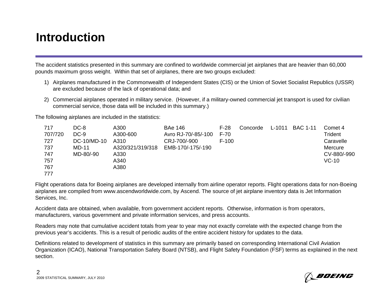### **Introduction**

The accident statistics presented in this summary are confined to worldwide commercial jet airplanes that are heavier than 60,000 pounds maximum gross weight. Within that set of airplanes, there are two groups excluded:

- 1) Airplanes manufactured in the Commonwealth of Independent States (CIS) or the Union of Soviet Socialist Republics (USSR) are excluded because of the lack of operational data; and
- 2) Commercial airplanes operated in military service. (However, if a military-owned commercial jet transport is used for civilian commercial service, those data will be included in this summary.)

The following airplanes are included in the statistics:

| 717     | DC-8        | A300             | <b>BAe 146</b>      | $F-28$ | Concorde | L-1011 | <b>BAC 1-11</b> | Comet 4     |
|---------|-------------|------------------|---------------------|--------|----------|--------|-----------------|-------------|
| 707/720 | $DC-9$      | A300-600         | Avro RJ-70/-85/-100 | $F-70$ |          |        |                 | Trident     |
| 727     | DC-10/MD-10 | A310             | CRJ-700/-900        | F-100  |          |        |                 | Caravelle   |
| 737     | MD-11       | A320/321/319/318 | EMB-170/-175/-190   |        |          |        |                 | Mercure     |
| 747     | MD-80/-90   | A330             |                     |        |          |        |                 | CV-880/-990 |
| 757     |             | A340             |                     |        |          |        |                 | $VC-10$     |
| 767     |             | A380             |                     |        |          |        |                 |             |
| 777     |             |                  |                     |        |          |        |                 |             |

Flight operations data for Boeing airplanes are developed internally from airline operator reports. Flight operations data for non-Boeing airplanes are compiled from www.ascendworldwide.com, by Ascend. The source of jet airplane inventory data is Jet Information Services, Inc.

Accident data are obtained, when available, from government accident reports. Otherwise, information is from operators, manufacturers, various government and private information services, and press accounts.

Readers may note that cumulative accident totals from year to year may not exactly correlate with the expected change from the previous year's accidents. This is a result of periodic audits of the entire accident history for updates to the data.

Definitions related to development of statistics in this summary are primarily based on corresponding International Civil Aviation Organization (ICAO), National Transportation Safety Board (NTSB), and Flight Safety Foundation (FSF) terms as explained in the next section.

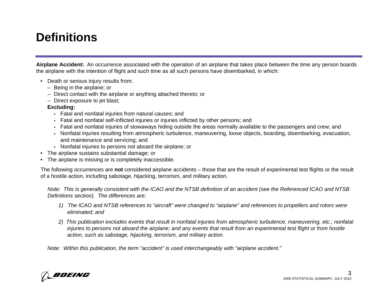### **Definitions**

**Airplane Accident:** An occurrence associated with the operation of an airplane that takes place between the time any person boards the airplane with the intention of flight and such time as all such persons have disembarked, in which:

- Death or serious injury results from:
	- Being in the airplane; or
	- Direct contact with the airplane or anything attached thereto; or
	- Direct exposure to jet blast;
	- **Excluding:**
		- Fatal and nonfatal injuries from natural causes; and
		- Fatal and nonfatal self-inflicted injuries or injuries inflicted by other persons; and
		- Fatal and nonfatal injuries of stowaways hiding outside the areas normally available to the passengers and crew; and
		- Nonfatal injuries resulting from atmospheric turbulence, maneuvering, loose objects, boarding, disembarking, evacuation, and maintenance and servicing; and
		- Nonfatal injuries to persons not aboard the airplane; or
- The airplane sustains substantial damage; or
- The airplane is missing or is completely inaccessible.

The following occurrences are **not** considered airplane accidents – those that are the result of experimental test flights or the result of a hostile action, including sabotage, hijacking, terrorism, and military action.

*Note: This is generally consistent with the ICAO and the NTSB definition of an accident (see the Referenced ICAO and NTSB Definitions section). The differences are:* 

- *1) The ICAO and NTSB references to "aircraft" were changed to "airplane" and references to propellers and rotors were eliminated; and*
- *2) This publication excludes events that result in nonfatal injuries from atmospheric turbulence, maneuvering, etc.; nonfatal injuries to persons not aboard the airplane; and any events that result from an experimental test flight or from hostile action, such as sabotage, hijacking, terrorism, and military action.*

*Note: Within this publication, the term "accident" is used interchangeably with "airplane accident."*

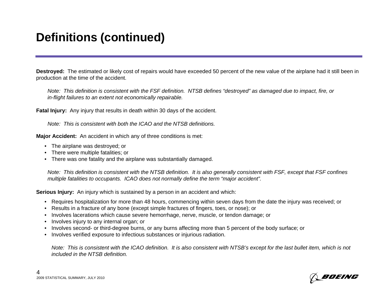**Destroyed:** The estimated or likely cost of repairs would have exceeded 50 percent of the new value of the airplane had it still been in production at the time of the accident.

*Note: This definition is consistent with the FSF definition. NTSB defines "destroyed" as damaged due to impact, fire, or in-flight failures to an extent not economically repairable.*

**Fatal Injury:** Any injury that results in death within 30 days of the accident.

*Note: This is consistent with both the ICAO and the NTSB definitions.*

**Major Accident:** An accident in which any of three conditions is met:

- The airplane was destroyed; or
- There were multiple fatalities; or
- There was one fatality and the airplane was substantially damaged.

*Note: This definition is consistent with the NTSB definition. It is also generally consistent with FSF, except that FSF confines multiple fatalities to occupants. ICAO does not normally define the term "major accident".* 

**Serious Injury:** An injury which is sustained by a person in an accident and which:

- Requires hospitalization for more than 48 hours, commencing within seven days from the date the injury was received; or
- Results in a fracture of any bone (except simple fractures of fingers, toes, or nose); or
- Involves lacerations which cause severe hemorrhage, nerve, muscle, or tendon damage; or
- Involves injury to any internal organ; or
- Involves second- or third-degree burns, or any burns affecting more than 5 percent of the body surface; or
- Involves verified exposure to infectious substances or injurious radiation.

*Note: This is consistent with the ICAO definition. It is also consistent with NTSB's except for the last bullet item, which is not included in the NTSB definition.*

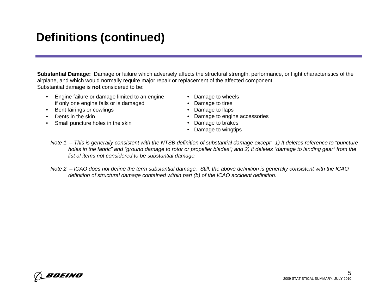# **Definitions (continued)**

**Substantial Damage:** Damage or failure which adversely affects the structural strength, performance, or flight characteristics of the airplane, and which would normally require major repair or replacement of the affected component. Substantial damage is **not** considered to be:

- Engine failure or damage limited to an engine if only one engine fails or is damaged
- Bent fairings or cowlings
- Dents in the skin
- Small puncture holes in the skin
- Damage to wheels
- Damage to tires
- Damage to flaps
- Damage to engine accessories
- Damage to brakes
- Damage to wingtips
- *Note 1. This is generally consistent with the NTSB definition of substantial damage except: 1) It deletes reference to "puncture holes in the fabric" and "ground damage to rotor or propeller blades"; and 2) It deletes "damage to landing gear" from the list of items not considered to be substantial damage.*
- *Note 2. ICAO does not define the term substantial damage. Still, the above definition is generally consistent with the ICAO definition of structural damage contained within part (b) of the ICAO accident definition.*

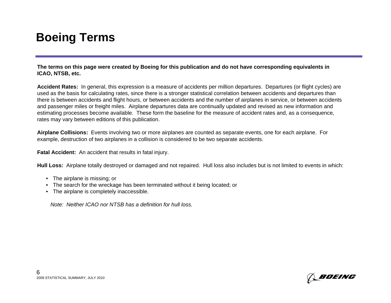### **Boeing Terms**

**The terms on this page were created by Boeing for this publication and do not have corresponding equivalents in ICAO, NTSB, etc.**

**Accident Rates:** In general, this expression is a measure of accidents per million departures. Departures (or flight cycles) are used as the basis for calculating rates, since there is a stronger statistical correlation between accidents and departures than there is between accidents and flight hours, or between accidents and the number of airplanes in service, or between accidents and passenger miles or freight miles. Airplane departures data are continually updated and revised as new information and estimating processes become available. These form the baseline for the measure of accident rates and, as a consequence, rates may vary between editions of this publication.

**Airplane Collisions:** Events involving two or more airplanes are counted as separate events, one for each airplane. For example, destruction of two airplanes in a collision is considered to be two separate accidents.

**Fatal Accident:** An accident that results in fatal injury.

**Hull Loss:** Airplane totally destroyed or damaged and not repaired. Hull loss also includes but is not limited to events in which:

- The airplane is missing; or
- The search for the wreckage has been terminated without it being located; or
- The airplane is completely inaccessible.

*Note: Neither ICAO nor NTSB has a definition for hull loss.*

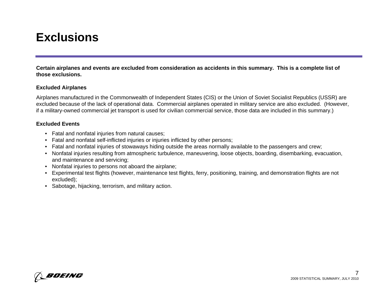### **Exclusions**

**Certain airplanes and events are excluded from consideration as accidents in this summary. This is a complete list of those exclusions.**

#### **Excluded Airplanes**

Airplanes manufactured in the Commonwealth of Independent States (CIS) or the Union of Soviet Socialist Republics (USSR) are excluded because of the lack of operational data. Commercial airplanes operated in military service are also excluded. (However, if a military-owned commercial jet transport is used for civilian commercial service, those data are included in this summary.)

#### **Excluded Events**

- Fatal and nonfatal injuries from natural causes;
- Fatal and nonfatal self-inflicted injuries or injuries inflicted by other persons;
- Fatal and nonfatal injuries of stowaways hiding outside the areas normally available to the passengers and crew;
- Nonfatal injuries resulting from atmospheric turbulence, maneuvering, loose objects, boarding, disembarking, evacuation, and maintenance and servicing;
- Nonfatal injuries to persons not aboard the airplane;
- Experimental test flights (however, maintenance test flights, ferry, positioning, training, and demonstration flights are not excluded);
- Sabotage, hijacking, terrorism, and military action.

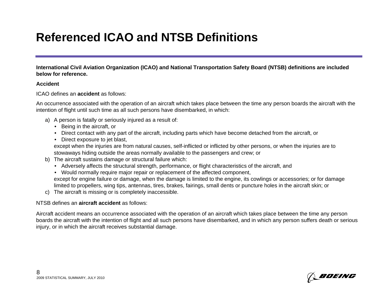# **Referenced ICAO and NTSB Definitions**

**International Civil Aviation Organization (ICAO) and National Transportation Safety Board (NTSB) definitions are included below for reference.**

#### **Accident**

ICAO defines an **accident** as follows:

An occurrence associated with the operation of an aircraft which takes place between the time any person boards the aircraft with the intention of flight until such time as all such persons have disembarked, in which:

- a) A person is fatally or seriously injured as a result of:
	- Being in the aircraft, or
	- Direct contact with any part of the aircraft, including parts which have become detached from the aircraft, or
	- Direct exposure to jet blast,

except when the injuries are from natural causes, self-inflicted or inflicted by other persons, or when the injuries are to stowaways hiding outside the areas normally available to the passengers and crew; or

- b) The aircraft sustains damage or structural failure which:
	- Adversely affects the structural strength, performance, or flight characteristics of the aircraft, and
	- Would normally require major repair or replacement of the affected component, except for engine failure or damage, when the damage is limited to the engine, its cowlings or accessories; or for damage limited to propellers, wing tips, antennas, tires, brakes, fairings, small dents or puncture holes in the aircraft skin; or
- c) The aircraft is missing or is completely inaccessible.

#### NTSB defines an **aircraft accident** as follows:

Aircraft accident means an occurrence associated with the operation of an aircraft which takes place between the time any person boards the aircraft with the intention of flight and all such persons have disembarked, and in which any person suffers death or serious injury, or in which the aircraft receives substantial damage.

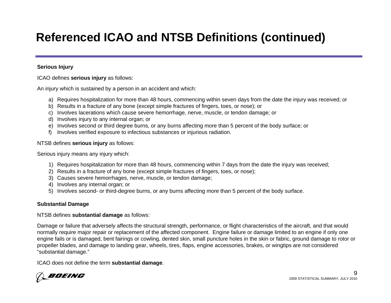# **Referenced ICAO and NTSB Definitions (continued)**

#### **Serious Injury**

ICAO defines **serious injury** as follows:

An injury which is sustained by a person in an accident and which:

- a) Requires hospitalization for more than 48 hours, commencing within seven days from the date the injury was received; or
- b) Results in a fracture of any bone (except simple fractures of fingers, toes, or nose); or
- c) Involves lacerations which cause severe hemorrhage, nerve, muscle, or tendon damage; or
- d) Involves injury to any internal organ; or
- e) Involves second or third degree burns, or any burns affecting more than 5 percent of the body surface; or
- f) Involves verified exposure to infectious substances or injurious radiation.

#### NTSB defines **serious injury** as follows:

Serious injury means any injury which:

- 1) Requires hospitalization for more than 48 hours, commencing within 7 days from the date the injury was received;
- 2) Results in a fracture of any bone (except simple fractures of fingers, toes, or nose);
- 3) Causes severe hemorrhages, nerve, muscle, or tendon damage;
- 4) Involves any internal organ; or
- 5) Involves second- or third-degree burns, or any burns affecting more than 5 percent of the body surface.

#### **Substantial Damage**

#### NTSB defines **substantial damage** as follows:

Damage or failure that adversely affects the structural strength, performance, or flight characteristics of the aircraft, and that would normally require major repair or replacement of the affected component. Engine failure or damage limited to an engine if only one engine fails or is damaged, bent fairings or cowling, dented skin, small puncture holes in the skin or fabric, ground damage to rotor or propeller blades, and damage to landing gear, wheels, tires, flaps, engine accessories, brakes, or wingtips are not considered "substantial damage."

ICAO does not define the term **substantial damage**.

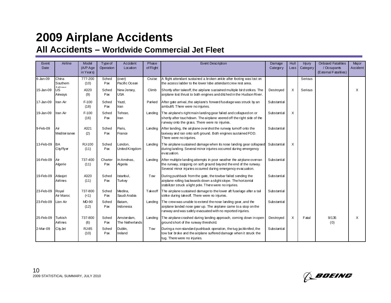| Event<br>Date | Airline                          | Model<br>(A/P Age<br>in Years) | <b>Type of</b><br>Operation | Accident<br>Location          | Phase<br>of Flight | <b>Event Description</b>                                                                                                                                                                                   | Damage<br>Category | Hull<br>$L$ <sub>os</sub> $s$ | Injury<br>Category | <b>Onboard Fatalities</b><br>/ Occupants<br>(External Fatalities) | Major<br>Accident |
|---------------|----------------------------------|--------------------------------|-----------------------------|-------------------------------|--------------------|------------------------------------------------------------------------------------------------------------------------------------------------------------------------------------------------------------|--------------------|-------------------------------|--------------------|-------------------------------------------------------------------|-------------------|
| 6-Jan-09      | China<br>Southern                | 777-200<br>(10)                | Sched<br>Pax                | (over)<br>Pacific Ocean       | Cruise             | A flight attendant sustained a broken ankle after footing was lost on<br>the access ladder to the lower lobe attendant crew rest area.                                                                     |                    |                               | Serious            |                                                                   |                   |
| 15-Jan-09     | <b>Aidinne</b><br>US.<br>Airways | A320<br>(9)                    | Sched<br>Pax                | New Jersey,<br><b>USA</b>     | Climb              | Shortly after takeoff, the airplane sustained multiple bird strikes. The<br>airplane lost thrust to both engines and ditched in the Hudson River.                                                          | Destroyed          | X                             | Serious            |                                                                   | X                 |
| 17-Jan-09     | Iran Air                         | $F-100$<br>(18)                | Sched<br>Pax                | Yazd,<br>Iran                 | Parked             | After gate arrival, the airplane's forward fuselage was struck by an<br>ambulift There were no injuries.                                                                                                   | Substantial        |                               |                    |                                                                   |                   |
| 19-Jan-09     | Iran Air                         | $F-100$<br>(16)                | Sched<br>Pax                | Tehran,<br>Iran               | Landing            | The airplane's right main landing gear failed and collapsed on or<br>shortly after touchdown. The airplane veered off the right side of the<br>runway onto the grass. There were no injuries.              | Substantial        | X                             |                    |                                                                   |                   |
| 9-Feb-09      | Air<br>Mediter ranee             | A321<br>(2)                    | Sched<br>Pax                | Paris,<br>France              | Landing            | After landing, the airplane overshot the runway turnoff onto the<br>taxiway and ran onto soft ground. Both engines sustained FOD.<br>There were no injuries.                                               | Substantial        |                               |                    |                                                                   |                   |
| 13-Feb-09     | <b>BA</b><br>CityFlyer           | RJ-100<br>(11)                 | Sched<br>Pax                | Landon,<br>United Kingdom     | Landing            | The airplane sustained damage when its nose landing gear collapsed<br>during landing. Several minor injuries occurred during emergency<br>evacuation.                                                      | Substantial        | X                             |                    |                                                                   |                   |
| 16-Feb-09     | Air<br>Algerie                   | 737-400<br>(11)                | Charter<br>Pax              | In Aménas.<br>Algeria         | Landing            | After multiple landing attempts in poor weather the airplane over ran<br>the runway, stopping on soft ground beyond the end of the runway.<br>Several minor injuries occurred during emergency evacuation. | Substantial        |                               |                    |                                                                   |                   |
| 19-Feb-09     | Atlasjet<br>Airlines             | A320<br>(11)                   | Sched<br>Pax                | Istanbul,<br>Turkey           | Tow                | During pushback from the gate, the towbar failed sending the<br>airplane rolling backwards down a slight slope. The horizontal<br>stabilizer struck a light pole. There were no injuries.                  | Substantial        |                               |                    |                                                                   |                   |
| 23-Feb-09     | Royal<br>Air Maroc               | 737-800<br>(<1)                | Sched<br>Pax                | Medina,<br>Saudi Arabia       | Takeoff            | The airplane sustained damage to the lower aft fuselage after a tail<br>strike during takeoff. There were no injuries.                                                                                     | Substantial        |                               |                    |                                                                   |                   |
| 23-Feb-09     | Lion Air                         | MD-90<br>(12)                  | Sched<br>Pax                | Batam,<br>Indonesia           | Landing            | The crew was unable to extend the nose landing gear, and the<br>airplane landed nose gear up. The airplane came to a stop on the<br>runway and was safely evacuated with no reported injuries.             | Substantial        |                               |                    |                                                                   |                   |
| 25-Feb-09     | Turkish<br>Airlines              | 737-800<br>(6)                 | Sched<br>Pax                | Amsterdam.<br>The Netherlands | Landing            | The airplane crashed during landing approach, coming down in open<br>ground short of the runway threshold.                                                                                                 | Destroyed          | X                             | Fatal              | 9/135<br>(0)                                                      | X                 |
| 2-Mar-09      | <b>City Jet</b>                  | <b>RJ-85</b><br>(10)           | Sched<br>Pax                | Dublin,<br>Ireland            | Tow                | During a non-standard pushback operation, the tug jackknifed, the<br>tow bar broke and the airplane suffered damage when it struck the<br>tug. There were no injuries.                                     | Substantial        |                               |                    |                                                                   |                   |

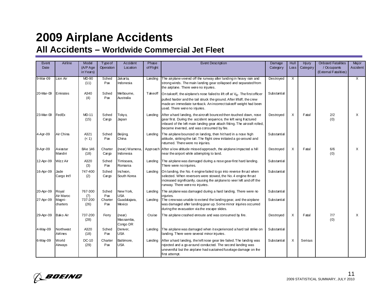| Event     | Airline               | Model                  | Type of              | Accident                       | Phase     | <b>Event Description</b>                                                                                                                                                                                                                                                         |             | Hull                    | Injury   | <b>Onboard Fatalities</b>            | Major                   |
|-----------|-----------------------|------------------------|----------------------|--------------------------------|-----------|----------------------------------------------------------------------------------------------------------------------------------------------------------------------------------------------------------------------------------------------------------------------------------|-------------|-------------------------|----------|--------------------------------------|-------------------------|
| Date      |                       | (A/P Age<br>in Years)  | Operation            | Location                       | of Flight |                                                                                                                                                                                                                                                                                  | Category    | $L\alpha s$             | Category | / Occupants<br>(External Fatalities) | Accident                |
| 9-Mar-09  | Lion Air              | MD-90<br>(11)          | Sched<br>Pax         | <b>Jakarta</b><br>Indonesia    | Landing   | The airplane veered off the runway after landing in heavy rain and<br>strong winds. The main landing gear collapsed and separated from<br>the airplane. There were no injuries.                                                                                                  | Destroyed   | $\overline{\mathsf{x}}$ |          |                                      | $\overline{\mathsf{x}}$ |
| 20-Mar-09 | Emirates              | A340<br>(4)            | Sched<br>Pax         | Melbourne,<br>Australia        | Takeoff   | On take off, the airplane's nose failed to lift off at $V_R$ . The first officer<br>pulled harder and the tail struck the ground. After liftoff, the crew<br>made an immediate turnback. An incorrect takeoff weight had been<br>used. There were no injuries.                   | Substantial |                         |          |                                      |                         |
| 23-Mar-09 | FedEx                 | <b>MD-11</b><br>(15)   | Sched<br>Carop       | Tokyo,<br>Japan                | Landing   | After a hard landing, the aircraft bounced then touched down, nose<br>Destroyed<br>gear first. During the accident sequence, the left wing fractured<br>inboard of the left main landing gear attach fitting. The aircraft rolled,<br>became inverted, and was consumed by fire. |             | $\times$                | Fatal    | 2/2<br>(0)                           | $\times$                |
| 4-Apr-09  | Air China             | A321<br>(< 1)          | Sched<br>Pax         | Beijing,<br>China              | Landing   | The airplane bounced on landing, then hit hard in a nose high<br>attitude, striking the tail. The flight crew initiated a go-around and<br>returned. There were no injuries.                                                                                                     | Substantial |                         |          |                                      |                         |
| 9-Apr-09  | Aviastar<br>Mandiri   | <b>BAe 146</b><br>(18) | Charter<br>$C$ ar op | (near) Wamena,<br>Indonesia    |           | Approach After a low altitude missed approach, the airplane impacted a hill<br>near the airport while attempting to land.                                                                                                                                                        | Destroyed   | X                       | Fatal    | 6/6<br>(0)                           | $\times$                |
| 12-Apr-09 | <b>Wizz Air</b>       | A320<br>(3)            | Sched<br>Pax         | Timisoara,<br>Romania          | Landing   | The airplane was damaged during a nose gear-first hard landing.<br>There were no injuries.                                                                                                                                                                                       | Substantial |                         |          |                                      |                         |
| 16-Apr-09 | Jade<br>Cargo Int'l   | 747-400<br>(2)         | Sched<br>Cargp       | Incheon,<br>South Korea        | Landing   | Onlanding, the No. 4 engine failed to go into reverse thrust when<br>selected. When reversers were stowed, the No. 4 engine thrust<br>increased significantly, causing the airplane to veer left and off the<br>runway. There were no injuries.                                  | Substantial |                         |          |                                      |                         |
| 20-Apr-09 | Royal<br>Air Maroc    | 767-300                | Sched<br>Pax         | New York,<br><b>USA</b>        | Landing   | The airplane was damaged during a hard landing. There were no<br>iniuries.                                                                                                                                                                                                       | Substantial |                         |          |                                      |                         |
| 27-Apr-09 | Magni-<br>charters    | (7)<br>737-200<br>(26) | Charter<br>Pax       | Guadalajara,<br>Mexico         | Landing   | The crew was unable to extend the landing gear, and the airplane<br>was damaged after landing gear up. Some minor injuries occurred<br>during the evacuation via the escape slides.                                                                                              | Substantial |                         |          |                                      |                         |
| 29-Apr-09 | Bako Air              | 737-200<br>(28)        | Ferry                | (new)<br>Massamba.<br>Congo DR | Cruise    | The airplane crashed enroute and was consumed by fire.                                                                                                                                                                                                                           | Destroyed   | X                       | Fatal    | 7/7<br>(0)                           | X                       |
| 4-May-09  | Northwest<br>Airlines | A320<br>(18)           | Sched<br>Pax         | Denver,<br><b>USA</b>          | Landing   | The airplane was damaged when it experienced a hard tail strike on<br>landing There were several minor injuries.                                                                                                                                                                 | Substantial |                         |          |                                      |                         |
| 6-May-09  | World<br>Airways      | DC-10<br>(29)          | Charter<br>Pax       | Baltimore,<br>USA              | Landing   | After a hard landing, the left nose gear tire failed. The landing was<br>rejected and a go-around conducted. The second landing was<br>uneventful but the airplane had sustained fuselage damage on the<br>first attempt.                                                        | Substantial | X                       | Sericus  |                                      |                         |

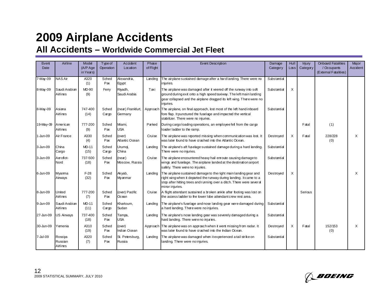| Event<br>Date | Airline                        | Model<br>(A/P Age<br>in Years) | Type of<br>Operation | Accident<br>Location         | Phase<br>of Flight | <b>Event Description</b>                                                                                                                                                                                                            | Damage<br>Category | Hull<br>$L$ <sub>os</sub> $s$ | Injury<br>Category | <b>Onboard Fatalities</b><br>/ Occupants<br>(External Fatalities) | Major<br>Accident |
|---------------|--------------------------------|--------------------------------|----------------------|------------------------------|--------------------|-------------------------------------------------------------------------------------------------------------------------------------------------------------------------------------------------------------------------------------|--------------------|-------------------------------|--------------------|-------------------------------------------------------------------|-------------------|
| $7-May-09$    | <b>NAS Air</b>                 | A320<br>(1)                    | Sched<br>Pax         | Alexandria,<br>Egypt         | Landing            | The airplane sustained damage after a hard landing. There were no<br>injuries.                                                                                                                                                      | Substantial        |                               |                    |                                                                   |                   |
| 8-May-09      | Saudi Arabian<br>Airlines      | <b>MD-90</b><br>(9)            | Ferry                | Riyadh,<br>Saudi Arabia      | Taxi               | The airplane was damaged after it veered off the runway into soft<br>ground during exit orto a high speed taxiway. The left main landing<br>gear collapsed and the airplane dragged its left wing. There were no<br>injuries.       | Substantial        | X                             |                    |                                                                   |                   |
| 8-May-09      | Asiana<br>Airlines             | 747-400<br>(14)                | Sched<br>Cargo       | (near) Frankfurt,<br>Germany | Approach           | The airplane, on final approach, lost most of the left hand inboard<br>fore flap. It punctured the fuselage and impacted the vertical<br>stabilizer. There were no injuries.                                                        | Substantial        |                               |                    |                                                                   |                   |
| 19-May-09     | American<br>Airlines           | 777-200<br>(9)                 | Sched<br>Pax         | Miami,<br><b>USA</b>         | Parked             | During cargo loading operations, an employee fell from the cargo<br>loader ladder to the ramp.                                                                                                                                      |                    |                               | Fatal              | (1)                                                               |                   |
| 1-Jun-09      | Air France                     | A330<br>(4)                    | Sched<br>Pax         | (over)<br>Atlantic Ocean     | Cruise             | The airplane was reported missing when communication was lost. It<br>was later found to have crashed into the Atlantic Ocean.                                                                                                       | Destroyed          | X                             | Fatal              | 228/228<br>(0)                                                    | Χ                 |
| 3-Jun-09      | China<br>Cargo                 | <b>MD-11</b><br>(15)           | Sched<br>Cargo       | Urumai,<br>China             | Landing            | The airplane's aft fuselage sustained damage during a hard landing.<br>There were no injuries.                                                                                                                                      | Substantial        |                               |                    |                                                                   |                   |
| 3-Jun-09      | Aeroflot-<br>Nord              | 737-500<br>(18)                | Sched<br>Pax         | (near)<br>Moscow, Russia     | Cruise             | The airplane encountered heavy hail enroute causing damage to<br>wings and fuselage. The airplane landed at the destination airport<br>safely. There were no injuries.                                                              | Substantial        |                               |                    |                                                                   |                   |
| 6-Jun-09      | Myanma<br>Airways              | $F-28$<br>(32)                 | Sched<br>Pax         | Akyab,<br>Myanmar            | Landing            | The airplane sustained damage to the right main landing gear and<br>right wing when it departed the runway during landing. It came to a<br>stop after hitting trees and running over a ditch. There were several<br>minor injuries. | Destroved          | X                             |                    |                                                                   | X                 |
| 8-Jun-09      | United<br>Airlines             | 777-200<br>(7)                 | Sched<br>Pax         | (over) Pacific<br>Ocean      | Cruise             | A flight attendant sustained a broken ankle after footing was lost on<br>the access ladder to the lower lobe attendant crew rest area.                                                                                              |                    |                               | Serious            |                                                                   |                   |
| 9-Jun-09      | Saudi Arabian<br>Airlines      | <b>MD-11</b><br>(11)           | Sched<br>Cargo       | Khartoum,<br>Sudan           | Landing            | The airplane's fuselage and nose landing gear were damaged during<br>a hard landing. There were no injuries.                                                                                                                        | Substantial        |                               |                    |                                                                   |                   |
| 27-Jun-09     | <b>US Airways</b>              | 737-400<br>(18)                | Sched<br>Pax         | Tampa,<br><b>USA</b>         | Landing            | The airplane's nose landing gear was severely damaged during a<br>hard landing. There were no injuries.                                                                                                                             | Substantial        |                               |                    |                                                                   |                   |
| 30-Jun-09     | Yemenia                        | A310<br>(19)                   | Sched<br>Pax         | (over)<br>Indian Ocean       |                    | Approach The airplane was on approach when it went missing from radar. It<br>was later found to have crashed into the Indian Ocean.                                                                                                 | Destroyed          | Χ                             | Fatal              | 152/153<br>(0)                                                    | $\times$          |
| 7-Jul-09      | Rossiya<br>Russian<br>Airlines | A320<br>(7)                    | Sched<br>Pax         | St. Petersburg,<br>Russia    | Landing            | The airplane was damaged when it experienced a tail strike on<br>landing. There were no injuries.                                                                                                                                   | Substantial        |                               |                    |                                                                   |                   |

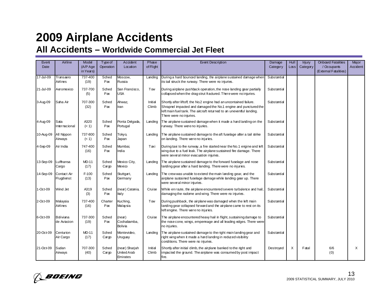| Event       | Airline                         | Model                | <b>Type of</b> | Accident                                  | Phase            | <b>Event Description</b>                                                                                                                                                                                                                 | Damage      | Hull              | Injury   | <b>Onboard Fatalities</b> | Major    |
|-------------|---------------------------------|----------------------|----------------|-------------------------------------------|------------------|------------------------------------------------------------------------------------------------------------------------------------------------------------------------------------------------------------------------------------------|-------------|-------------------|----------|---------------------------|----------|
| <b>Date</b> |                                 | $(A/P \text{Age})$   | Operation      | Location                                  | of Flight        |                                                                                                                                                                                                                                          | Category    | Loss <sub>1</sub> | Category | / Occupants               | Accident |
|             |                                 | in Years)            |                |                                           |                  |                                                                                                                                                                                                                                          |             |                   |          | (External Fatalities)     |          |
| 17-Jul-09   | Transaero<br>Airlines           | 737-400<br>(19)      | Sched<br>Pax   | Moscow,<br>Russia                         | Landing          | During a hard bounced landing, the airplane sustained damage wher<br>its tail struck the runway. There were no injuries.                                                                                                                 | Substantial |                   |          |                           |          |
| 21-Jul-09   | Aeromexico                      | 737-700<br>(5)       | Sched<br>Pax   | San Francisco,<br><b>USA</b>              | Tow              | During airplane pushback operation, the nose landing gear partially<br>collapsed when the drag strut fractured. There were no injuries.                                                                                                  | Substantial |                   |          |                           |          |
| 3-Aug-09    | Saha Air                        | 707-300<br>(32)      | Sched<br>Pax   | Ahwaz,<br>Iran                            | Initial<br>Climb | Shortly after liftoff, the No.2 engine had an uncontained failure.<br>Shrapnel impacted and damaged the No.1 engine and punctured the<br>left main fuel tank. The aircraft returned to an uneventful landing.<br>There were no injuries. | Substantial |                   |          |                           |          |
| 4-Aug-09    | Sata<br>Internacional           | A320<br>(< 1)        | Sched<br>Pax   | Ponta Delgada<br>Portugal                 | Landing          | The airplane sustained damage when it made a hard landing on the<br>runway. There were no injuries.                                                                                                                                      | Substantial |                   |          |                           |          |
| 10-Aug-09   | All Nippon<br>Airways           | 737-800<br>(< 1)     | Sched<br>Pax   | Tokyo,<br>Japan                           | Landing          | The airplane sustained damage to the aft fuselage after a tail strike<br>on landing. There were no injuries.                                                                                                                             | Substantial |                   |          |                           |          |
| 4-Sep-09    | Air India                       | 747-400<br>(16)      | Sched<br>Pax   | Mumbai.<br>India                          | Taxi             | During taxi to the runway, a fire started near the No.1 engine and left<br>wing due to a fuel leak. The airplane sustained fire damage. There<br>were several minor evacuation injuries.                                                 | Substantial |                   |          |                           |          |
| 13-Sep-09   | ufthansa.<br>Cargo              | <b>MD-11</b><br>(17) | Sched<br>Cargo | Mexico City,<br>Mexico                    | Landing          | The airplane sustained damage to the forward fuselage and nose<br>landing gear after a hard landing. There were no injuries.                                                                                                             | Substantial |                   |          |                           |          |
| 14-Sep-09   | Contact Air<br>Flugdienst       | $F-100$<br>(13)      | Sched<br>Pax   | Stuttgart,<br>Germany                     | Landing          | The crew was unable to extend the main landing gear, and the<br>airplane sustained fuselage damage while landing gear up. There<br>were several minor injuries.                                                                          | Substantial |                   |          |                           |          |
| 1-Oct-09    | Wind Jet                        | A319<br>(3)          | Sched<br>Pax   | (near) Catania,<br>ltaly                  | Cruise           | While en route, the airplane encountered severe turbulence and hail.<br>damaging the radome and wing. There were no injuries.                                                                                                            | Substantial |                   |          |                           |          |
| 2-Oct-09    | Malaysia<br>Airlines            | 737-400<br>(16)      | Charter<br>Pax | Kuching,<br>Malaysia                      | Tow              | During pushback, the airplane was damaged when the left main<br>landing gear collapsed forward and the airplane came to rest on its<br>left engine. There were no injuries.                                                              | Substantial |                   |          |                           |          |
| 6-Oct-09    | <b>Boliviana</b><br>de Aviacion | 737-300<br>(19)      | Sched<br>Pax   | (new)<br>Cochabamba.<br>Bolivia           | Cruise           | The airplane encountered heavy hail in flight, sustaining damage to<br>the nose cone, wings, empernage and all leading edges. There were<br>no injuries.                                                                                 | Substantial |                   |          |                           |          |
| 20-Oct-09   | Centurion<br>Air Cargo          | <b>MD-11</b><br>(17) | Sched<br>Cargo | Montevideo,<br>Uruguay                    | Landing          | The airplane sustained damage to the right main landing gear and<br>right wing when it made a hard landing in reduced visibility<br>conditions. There were no injuries.                                                                  | Substantial |                   |          |                           |          |
| 21-Oct-09   | Sudan<br>Airways                | 707-300<br>(40)      | Sched<br>Cargo | (near) Sharjah<br>United Arab<br>Emirates | Initial<br>Climb | Shortly after initial dimb, the airplane banked to the right and<br>impacted the ground. The airplane was consumed by post impact<br>fire.                                                                                               | Destroyed   | X                 | Fatal    | 6/6<br>(0)                | $\times$ |

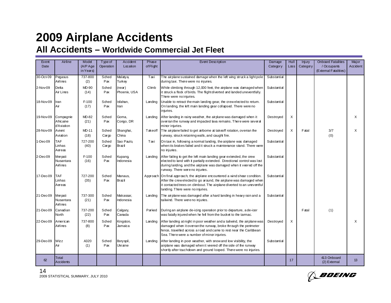| Event     | Airline                              | Model                | Type of           | Accident                   | Phase     | <b>Event Description</b>                                                                                                                                                                                                                                                      | Damage      | Hull                   | <b>Injury</b> | <b>Onboard Fatalities</b>   | Major    |
|-----------|--------------------------------------|----------------------|-------------------|----------------------------|-----------|-------------------------------------------------------------------------------------------------------------------------------------------------------------------------------------------------------------------------------------------------------------------------------|-------------|------------------------|---------------|-----------------------------|----------|
| Date      |                                      | $(A/P \text{Age})$   | Operation         | Location                   | of Flight |                                                                                                                                                                                                                                                                               | Category    | $\lfloor \cos \rfloor$ | Category      | / Occupants                 | Accident |
|           |                                      | in Years)            |                   |                            |           |                                                                                                                                                                                                                                                                               |             |                        |               | (External Fatalities)       |          |
| 30-Oct-09 | Pegasus<br>Airlines                  | 737-800<br>(2)       | Sched<br>Pax      | Malatya,<br>Turkey         | Taxi      | The airplane sustained damage when the left wing struck a light pole<br>during taxi. There were no injuries.                                                                                                                                                                  | Substantial |                        |               |                             |          |
| 2-Nov-09  | Delta<br>Air Lines                   | MD-90<br>(14)        | Sched<br>Pax      | (near)<br>Phoenix, USA     | Climb     | While dimbing through 12,000 feet, the airplane was damaged when<br>it struck a flock of birds. The flight diverted and landed uneventfully.<br>There were no injuries.                                                                                                       | Substantial |                        |               |                             |          |
| 18-Nov-09 | Iran<br>Air                          | $F-100$<br>(17)      | Sched<br>Pax      | lsfahan,<br>Iran           | Landing   | Unable to retract the main landing gear, the crew elected to return.<br>On landing, the left main landing gear collapsed. There were no<br>iniuries.                                                                                                                          | Substantial |                        |               |                             |          |
| 19-Nov-09 | Compagnie<br>Africaine<br>d'Aviation | MD-82<br>(21)        | Sched<br>Pax      | Goma,<br>Congo, DR         | Landing   | After landing in rainy weather, the airplane was damaged when it<br>overran the runway and impacted lava remains. There were several<br>minor injuries.                                                                                                                       | Destroyed   | X                      |               |                             | $\times$ |
| 28-Nov-09 | Avient<br>Aviation                   | <b>MD-11</b><br>(18) | Sched<br>$C$ argo | Shanghai,<br>China         | Takeoff   | The airplane failed to get airborne at takeoff rotation, overran the<br>runway, struck retaining walls, and caught fire.                                                                                                                                                      | Destroyed   | X                      | Fatal         | 3/7<br>(0)                  | X        |
| 1-Dec-09  | <b>TAF</b><br>Linhas<br>Aereas       | 727-200<br>(40)      | Sched<br>$C$ argo | Sao Paulo,<br>Brazil       | Taxi      | On taxi in, following a normal landing, the airplane was damaged<br>when its brakes failed and it struck a maintenance stand. There were<br>no injuries.                                                                                                                      | Substantial |                        |               |                             |          |
| 2-Dec-09  | Merpati<br>Nusantara<br>Airlines     | $F-100$<br>(16)      | Sched<br>Pax      | <b>Kupang</b><br>Indonesia | Landing   | After failing to get the left main landing gear extended, the crew<br>elected to land with it partially extended. Directional control was lost<br>during landing, and the airplane was damaged when it veered off the<br>runway. There were no injuries.                      | Substantial |                        |               |                             |          |
| 17-Dec-09 | <b>TAF</b><br>Linhas<br>Aereas       | 727-200<br>(35)      | Sched<br>Pax      | Manaus,<br>Brazil          |           | Approach On final approach, the airplane encountered a wind shear condition.<br>After the crew elected to go around, the airplane was damaged when<br>it contacted trees on climbout. The airplane diverted to an uneventful<br>landing. There were no injuries.              | Substantial |                        |               |                             |          |
| 21-Dec-09 | Merpati<br>Nusantara<br>Airlines     | 737-300<br>(21)      | Sched<br>Pax      | Makassar,<br>Indonesia     | Landing   | The airplane was damaged after a hard landing in heavy rain and a<br>tailwind. There were no injuries.                                                                                                                                                                        | Substantial |                        |               |                             |          |
| 21-Dec-09 | Canadian<br>North                    | 737-200<br>(22)      | Sched<br>Pax      | Calgary,<br>Canada         | Parked    | During an airplane de-icing operation prior to departure, a de-icer<br>was fatally injured when he fell from the bucket to the tarmac.                                                                                                                                        |             |                        | Fatal         | (1)                         |          |
| 22-Dec-09 | American<br>Airlines                 | 737-800<br>(8)       | Sched<br>Pax      | Kingston,<br>Jamaica       | Landing   | After landing at night in poor weather and a tailwind, the airplane was<br>Destroyed<br>damaged when it over ran the runway, broke through the perimeter<br>fence, travelled across a road and came to rest near the Caribbean<br>Sea. There were a number of minor injuries. |             | X                      |               |                             | $\times$ |
| 29-Dec-09 | Wizz<br>Air                          | A320<br>(1)          | Sched<br>Pax      | Boryspil,<br>Ukraine       | Landing   | After landing in poor weather, with snow and low visibility, the<br>airplane was damaged when it veered off the side of the runway<br>shortly after touchdown and ground looped. There were no injuries.                                                                      | Substantial |                        |               |                             |          |
| 62        | <b>Total</b><br>Accidents            |                      |                   |                            |           |                                                                                                                                                                                                                                                                               |             | 17                     |               | 413 Onboard<br>(2) External | 13       |

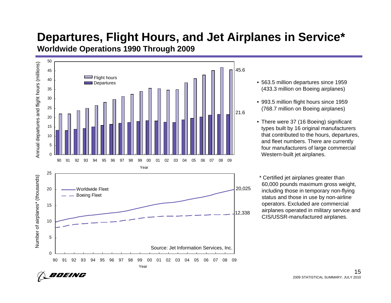### **Departures, Flight Hours, and Jet Airplanes in Service\* Worldwide Operations 1990 Through 2009**



- 563.5 million departures since 1959 (433.3 million on Boeing airplanes)
- 993.5 million flight hours since 1959 (768.7 million on Boeing airplanes)
- There were 37 (16 Boeing) significant types built by 16 original manufacturers that contributed to the hours, departures, and fleet numbers. There are currently four manufacturers of large commercial Western-built jet airplanes.

\* Certified jet airplanes greater than 60,000 pounds maximum gross weight, including those in temporary non-flying status and those in use by non-airline operators. Excluded are commercial airplanes operated in military service and CIS/USSR-manufactured airplanes.

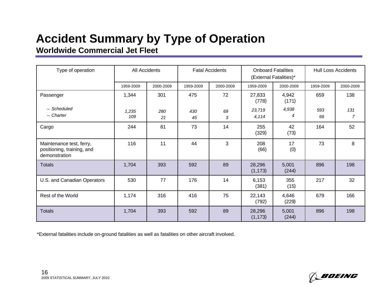### **Accident Summary by Type of Operation Worldwide Commercial Jet Fleet**

| Type of operation                                                       |              | All Accidents |           | <b>Fatal Accidents</b> |                    | <b>Onboard Fatalities</b><br>(External Fatalities)* | <b>Hull Loss Accidents</b> |           |  |
|-------------------------------------------------------------------------|--------------|---------------|-----------|------------------------|--------------------|-----------------------------------------------------|----------------------------|-----------|--|
|                                                                         | 1959-2009    | 2000-2009     | 1959-2009 | 2000-2009              | 1959-2009          | 2000-2009                                           | 1959-2009                  | 2000-2009 |  |
| Passenger                                                               | 1,344        | 301           | 475       | 72                     | 27,833<br>(778)    | 4,942<br>(171)                                      | 659                        | 138       |  |
| - Scheduled<br>- Charter                                                | 1,235<br>109 | 280<br>21     | 430<br>45 | 69<br>3                | 23,719<br>4,114    | 4,938<br>4                                          | 593<br>66                  | 131<br>7  |  |
| Cargo                                                                   | 244          | 81            | 73        | 14                     | 255<br>(329)       | 42<br>(73)                                          | 164                        | 52        |  |
| Maintenance test, ferry,<br>positioning, training, and<br>demonstration | 116          | 11            | 44        | 3                      | 208<br>(66)        | 17<br>(0)                                           | 73                         | 8         |  |
| <b>Totals</b>                                                           | 1,704        | 393           | 592       | 89                     | 28,296<br>(1, 173) | 5,001<br>(244)                                      | 896                        | 198       |  |
| U.S. and Canadian Operators                                             | 530          | 77            | 176       | 14                     | 6,153<br>(381)     | 355<br>(15)                                         | 217                        | 32        |  |
| Rest of the World                                                       | 1,174        | 316           | 416       | 75                     | 22,143<br>(792)    | 4,646<br>(229)                                      | 679                        | 166       |  |
| <b>Totals</b>                                                           | 1,704        | 393           | 592       | 89                     | 28,296<br>(1, 173) | 5,001<br>(244)                                      | 896                        | 198       |  |

\*External fatalities include on-ground fatalities as well as fatalities on other aircraft involved.



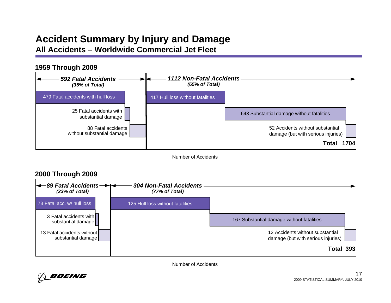#### **Accident Summary by Injury and Damage All Accidents – Worldwide Commercial Jet Fleet**

#### 479 Fatal accidents with hull loss25 Fatal accidents with substantial damage 52 Accidents without substantial damage (but with serious injuries) 88 Fatal accidentswithout substantial damage **Total 1704**643 Substantial damage without fatalities **1959 Through 2009** *592 Fatal Accidents(35% of Total) 1112 Non-Fatal Accidents(65% of Total)* 417 Hull loss without fatalities

Number of Accidents

#### *89 Fatal Accidents(23% of Total)* 73 Fatal acc. w/ hull loss3 Fatal accidents withsubstantial damage 12 Accidents without substantial damage (but with serious injuries) 13 Fatal accidents without substantial damage **Total 393**167 Substantial damage without fatalities **2000 Through 2009** *304 Non-Fatal Accidents(77% of Total)* 125 Hull loss without fatalities

Number of Accidents

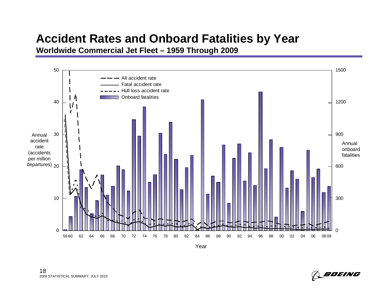### **Accident Rates and Onboard Fatalities by Year**

**Worldwide Commercial Jet Fleet – 1959 Through 2009**



182009 STATISTICAL SUMMARY, JULY 2010

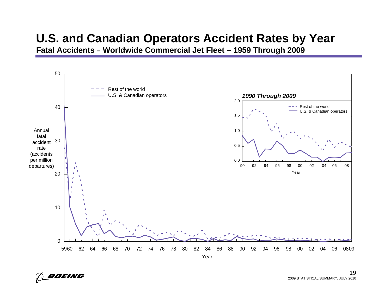### **U.S. and Canadian Operators Accident Rates by Year**

**Fatal Accidents – Worldwide Commercial Jet Fleet – 1959 Through 2009**



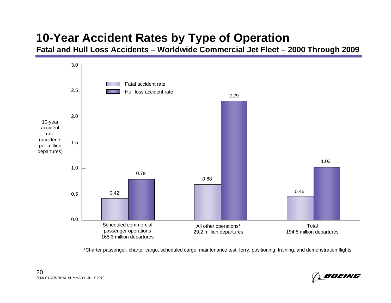# **10-Year Accident Rates by Type of Operation**

**Fatal and Hull Loss Accidents – Worldwide Commercial Jet Fleet – 2000 Through 2009**



\*Charter passenger, charter cargo, scheduled cargo, maintenance test, ferry, positioning, training, and demonstration flights

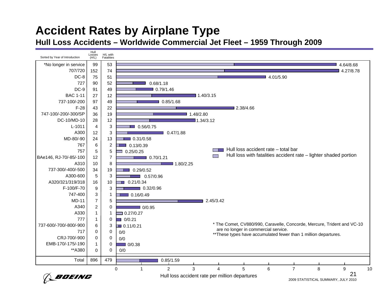# **Accident Rates by Airplane Type**

**Hull Loss Accidents – Worldwide Commercial Jet Fleet – 1959 Through 2009**

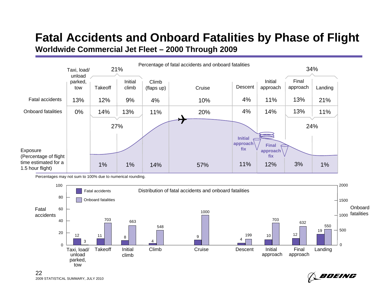#### **Fatal Accidents and Onboard Fatalities by Phase of Flight Worldwide Commercial Jet Fleet – 2000 Through 2009**



Percentages may not sum to 100% due to numerical rounding.



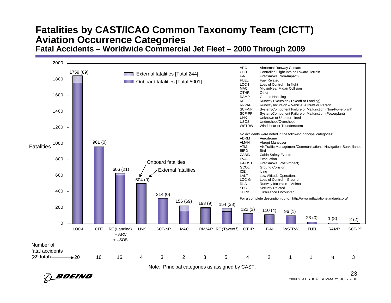#### **Fatalities by CAST/ICAO Common Taxonomy Team (CICTT) Aviation Occurrence Categories Fatal Accidents – Worldwide Commercial Jet Fleet – 2000 Through 2009**



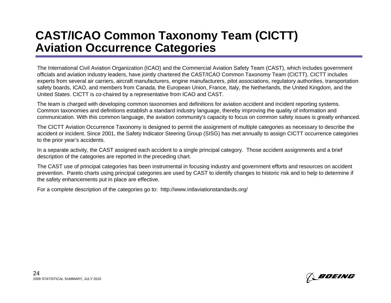### **CAST/ICAO Common Taxonomy Team (CICTT) Aviation Occurrence Categories**

The International Civil Aviation Organization (ICAO) and the Commercial Aviation Safety Team (CAST), which includes government officials and aviation industry leaders, have jointly chartered the CAST/ICAO Common Taxonomy Team (CICTT). CICTT includes experts from several air carriers, aircraft manufacturers, engine manufacturers, pilot associations, regulatory authorities, transportation safety boards, ICAO, and members from Canada, the European Union, France, Italy, the Netherlands, the United Kingdom, and the United States. CICTT is co-chaired by a representative from ICAO and CAST.

The team is charged with developing common taxonomies and definitions for aviation accident and incident reporting systems. Common taxonomies and definitions establish a standard industry language, thereby improving the quality of information and communication. With this common language, the aviation community's capacity to focus on common safety issues is greatly enhanced.

The CICTT Aviation Occurrence Taxonomy is designed to permit the assignment of multiple categories as necessary to describe the accident or incident. Since 2001, the Safety Indicator Steering Group (SISG) has met annually to assign CICTT occurrence categories to the prior year's accidents.

In a separate activity, the CAST assigned each accident to a single principal category. Those accident assignments and a brief description of the categories are reported in the preceding chart.

The CAST use of principal categories has been instrumental in focusing industry and government efforts and resources on accident prevention. Pareto charts using principal categories are used by CAST to identify changes to historic risk and to help to determine if the safety enhancements put in place are effective.

For a complete description of the categories go to: http://www.intlaviationstandards.org/